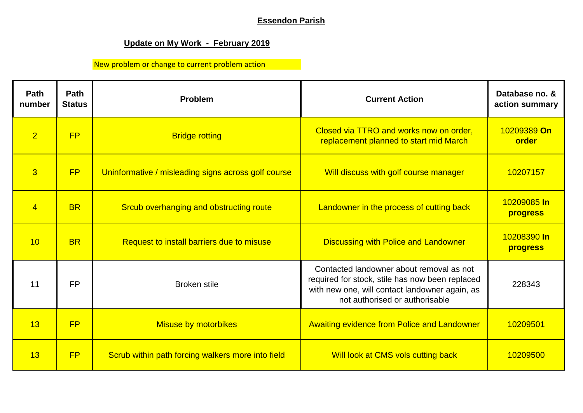## **Essendon Parish**

## **Update on My Work - February 2019**

New problem or change to current problem action

| Path<br>number | Path<br><b>Status</b> | Problem                                             | <b>Current Action</b>                                                                                                                                                           | Database no. &<br>action summary |
|----------------|-----------------------|-----------------------------------------------------|---------------------------------------------------------------------------------------------------------------------------------------------------------------------------------|----------------------------------|
| $\overline{2}$ | FP                    | <b>Bridge rotting</b>                               | Closed via TTRO and works now on order,<br>replacement planned to start mid March                                                                                               | 10209389 On<br>order             |
| $\overline{3}$ | FP                    | Uninformative / misleading signs across golf course | Will discuss with golf course manager                                                                                                                                           | 10207157                         |
| $\overline{4}$ | <b>BR</b>             | Srcub overhanging and obstructing route             | Landowner in the process of cutting back                                                                                                                                        | 10209085 In<br>progress          |
| 10             | <b>BR</b>             | Request to install barriers due to misuse           | <b>Discussing with Police and Landowner</b>                                                                                                                                     | 10208390 In<br>progress          |
| 11             | <b>FP</b>             | <b>Broken stile</b>                                 | Contacted landowner about removal as not<br>required for stock, stile has now been replaced<br>with new one, will contact landowner again, as<br>not authorised or authorisable | 228343                           |
| 13             | FP                    | <b>Misuse by motorbikes</b>                         | <b>Awaiting evidence from Police and Landowner</b>                                                                                                                              | 10209501                         |
| 13             | FP                    | Scrub within path forcing walkers more into field   | Will look at CMS vols cutting back                                                                                                                                              | 10209500                         |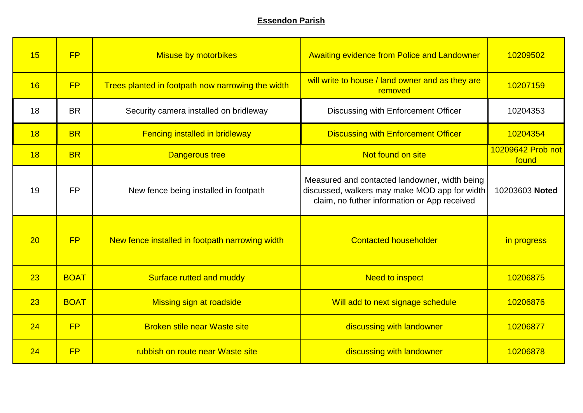## **Essendon Parish**

| 15 | FP          | <b>Misuse by motorbikes</b>                       | <b>Awaiting evidence from Police and Landowner</b>                                                                                             | 10209502                   |
|----|-------------|---------------------------------------------------|------------------------------------------------------------------------------------------------------------------------------------------------|----------------------------|
| 16 | FP          | Trees planted in footpath now narrowing the width | will write to house / land owner and as they are<br>removed                                                                                    | 10207159                   |
| 18 | <b>BR</b>   | Security camera installed on bridleway            | Discussing with Enforcement Officer                                                                                                            | 10204353                   |
| 18 | <b>BR</b>   | <b>Fencing installed in bridleway</b>             | <b>Discussing with Enforcement Officer</b>                                                                                                     | 10204354                   |
| 18 | <b>BR</b>   | <b>Dangerous tree</b>                             | Not found on site                                                                                                                              | 10209642 Prob not<br>found |
| 19 | <b>FP</b>   | New fence being installed in footpath             | Measured and contacted landowner, width being<br>discussed, walkers may make MOD app for width<br>claim, no futher information or App received | 10203603 Noted             |
| 20 | FP          | New fence installed in footpath narrowing width   | <b>Contacted householder</b>                                                                                                                   | in progress                |
| 23 | <b>BOAT</b> | Surface rutted and muddy                          | <b>Need to inspect</b>                                                                                                                         | 10206875                   |
| 23 | <b>BOAT</b> | Missing sign at roadside                          | Will add to next signage schedule                                                                                                              | 10206876                   |
| 24 | FP          | <b>Broken stile near Waste site</b>               | discussing with landowner                                                                                                                      | 10206877                   |
| 24 | FP          | rubbish on route near Waste site                  | discussing with landowner                                                                                                                      | 10206878                   |